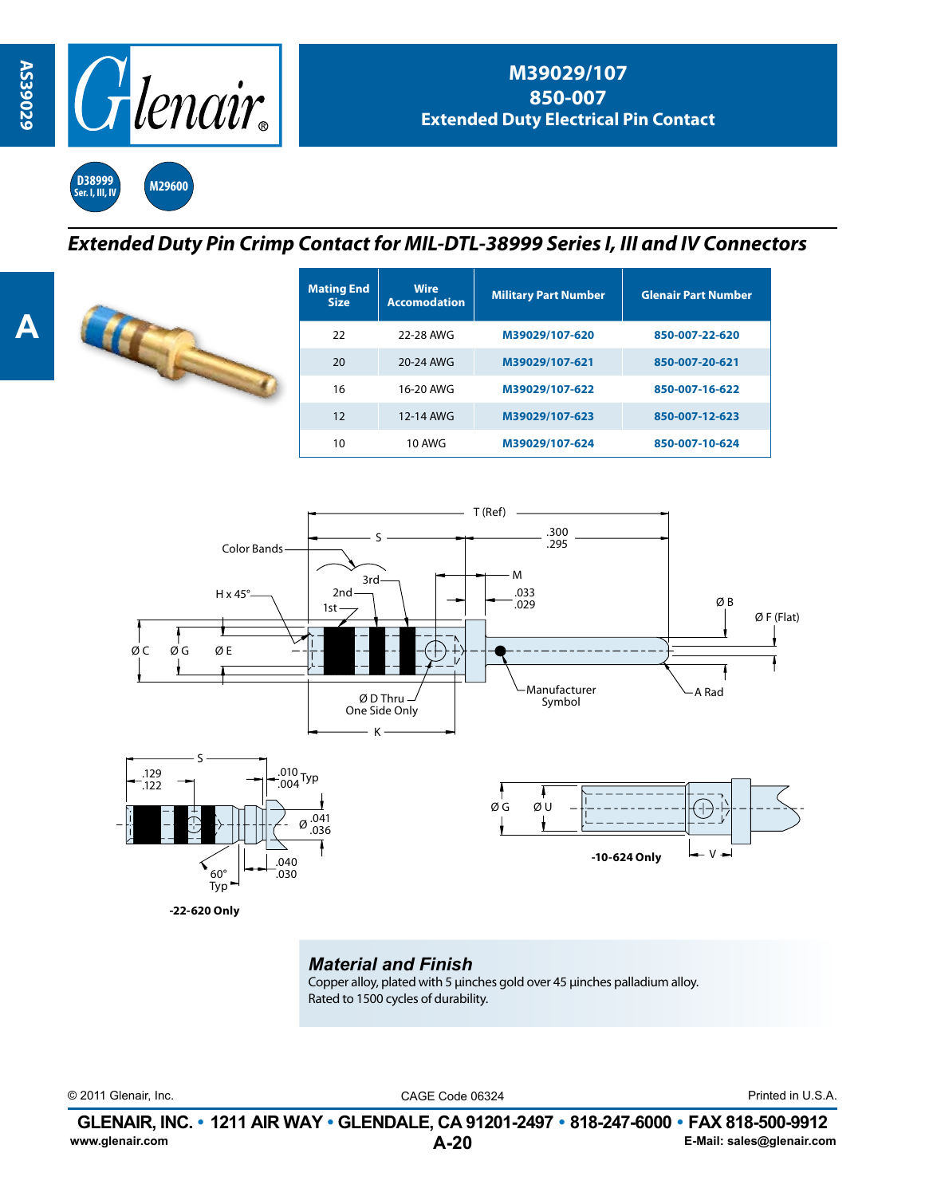

I Company

**D38999 Ser. I, III, IV M29600**

## *Extended Duty Pin Crimp Contact for MIL-DTL-38999 Series I, III and IV Connectors*

| <b>Mating End</b><br><b>Size</b> | <b>Wire</b><br><b>Accomodation</b> | <b>Military Part Number</b> | <b>Glenair Part Number</b> |
|----------------------------------|------------------------------------|-----------------------------|----------------------------|
| 22                               | 22-28 AWG                          | M39029/107-620              | 850-007-22-620             |
| 20                               | 20-24 AWG                          | M39029/107-621              | 850-007-20-621             |
| 16                               | 16-20 AWG                          | M39029/107-622              | 850-007-16-622             |
| 12                               | 12-14 AWG                          | M39029/107-623              | 850-007-12-623             |
| 10                               | <b>10 AWG</b>                      | M39029/107-624              | 850-007-10-624             |



## *Material and Finish*

Copper alloy, plated with 5 μinches gold over 45 μinches palladium alloy. Rated to 1500 cycles of durability.

© 2011 Glenair, Inc. CAGE Code 06324 Printed in U.S.A.

**A-20 GLENAIR, INC. • 1211 AIR WAY • GLENDALE, CA 91201-2497 • 818-247-6000 • FAX 818-500-9912**<br>E-Mail: sales@glenair.com **www.glenair.com E-Mail: sales@glenair.com**